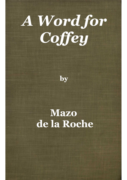# A Word for Coffey



## **Mazo** de la Roche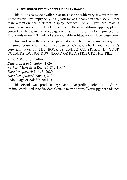### **\* A Distributed Proofreaders Canada eBook \***

This eBook is made available at no cost and with very few restrictions. These restrictions apply only if (1) you make a change in the eBook (other than alteration for different display devices), or (2) you are making commercial use of the eBook. If either of these conditions applies, please contact a https://www.fadedpage.com administrator before proceeding. Thousands more FREE eBooks are available at https://www.fadedpage.com.

This work is in the Canadian public domain, but may be under copyright in some countries. If you live outside Canada, check your country's copyright laws. IF THE BOOK IS UNDER COPYRIGHT IN YOUR COUNTRY, DO NOT DOWNLOAD OR REDISTRIBUTE THIS FILE.

*Title:* A Word for Coffey *Date of first publication:* 1926 *Author:* Mazo de la Roche (1879-1961) *Date first posted:* Nov. 5, 2020 *Date last updated:* Nov. 5, 2020 Faded Page eBook #20201110

This eBook was produced by: Mardi Desjardins, John Routh & the online Distributed Proofreaders Canada team at https://www.pgdpcanada.net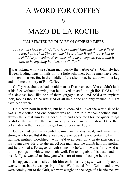## A WORD FOR COFFEY

*By*

## MAZO DE LA ROCHE

### ILLUSTRATED BY DUDLEY GLOYNE SUMMERS

*You couldn't look at old Coffey's face without knowing that he'd lived a tough life. Then Time and the "Fear of the Wrath" drove him to a child for protection. Even after what he attempted, you'll find it hard to be anything but "easy on Coffey."*

I was talking with a sea-faring man beside the harbor of St. John. He had been loading kegs of nails on to a little schooner, but he must have been his own meeter for in the middle of the efternoon, he set down on a keg been loading kegs of nails on to a little schooner, but he must have been his own master, for, in the middle of the afternoon, he sat down on a keg and told me the story of Bill Coffey:

Coffey was about as bad an old man as I've ever seen. You couldn't look at his face without knowing that he'd lived an awful tough life. He'd a kind of a devilish look like one of them gargoyle faces and he'd a triumphant look, too, as though he was glad of all he'd done and only wished it might have been worse.

He'd been born in Ireland, but he'd knocked all over the world since he was a little feller, and one country was no more to him than another. But I always think that him being born in Ireland accounted for the queer things he did at the last. For the Irish are a queer race and no mistake. Once they get an idea in their heads they get kind of possessed by it.

Coffey had been a splendid seaman in his day, neat, and smart, and strong as a horse. But if there was trouble on board he was certain to be in it, fighting, mutiny, bloodshed—why he'd even been on a pirate ship once in his young days. He'd bit the ear off one man, and the thumb half off another, and he'd killed a Portugee, though somehow he'd not swung for it. And as for his goings on with women—oh, well, I'm telling about his death and not his life. I just wanted to show you what sort of rum old codger he was.

It happened that I sailed with him on his last voyage. I was only about twenty then, but he was getting oldish. We'd sailed from Colon, and as we were coming out of the Gulf, we were caught on the edge of a hurricane. We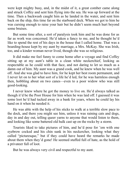were kept mighty busy, and, in the midst of it, a great comber came along and struck Coffey and sent him flying into the sea. He was up forward at the time. Then a backwash caught him as he landed in the water, and sent him back on the ship, this time far on the starboard deck. When we got to him he was cursing enough to raise your hair but he didn't seem much hurt beyond some bruises.

But some time after, a sort of paralysis took him and he was done for as far as work was concerned. He'd taken a fancy to me, and he thought he'd like to spend the rest of his days in the house that I called home. That was a boarding-house kept by my aunt by marriage, a Mrs. McKay. She was Irish, too, and a kinder woman never lived, though she was so religious.

It did make me feel funny to come home after a voyage and find Coffey sitting up at my aunt's table in a clean white neckerchief, looking as respectable as he could with that face, and not daring to let so much as a damn out of him. My aunt was a grand cook, and he knew when he was well off. And she was glad to have him, for he kept her best room permanent, and I never let on to her what sort of a life he'd led, for he was harmless enough then, hobbling about on two canes—even to a poor widow who was still good-looking.

I never knew where he got the money to live on. He'd always talked as though it'd be the Poor House for him when he was laid off. I guessed it was some loot he'd had tucked away in a bank for years, where he could lay his hand on it when he needed it.

He was able with the help of his sticks to walk at a terrible slow pace to the dock, and there you might see him, unless it was raining cats and dogs, day in and day out, telling queer yarns to anyone that would listen to them, and looking like some battered old hulk cast up on the rocks by a storm.

Tourists liked to take pictures of him, and he'd pose for 'em with one eyebrow cocked and his chin sunk in his neckercher, looking what they called "picturesque," but if they could have heard the remarks he made about them when they'd gone! He seemed stuffed full of hate, as the hold of a privateer full of loot.

But he was always very civil and respectful to my aunt.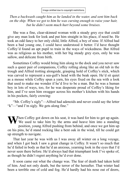Image omitted due to copyright restrictions.

*Then a backwash caught him as he landed in the water, and sent him back on the ship. When we got to him he was cursing enough to raise your hair, but he didn't seem much hurt beyond some bruises.*

She was a fine, clear-skinned woman with a steady grey eye that could give any man look for look and put him straight in his place, if need be. He took an odd fancy to her only child, little Alfred, a boy of nine. If Alfred had been a bad young one, I could have understood it better. I'd have thought Coffey'd found an apt pupil to train in the ways of wickedness. But Alfred was as religious as his mother, with her big steady grey eyes, only he was sallow, and delicate from birth.

Sometimes Coffey would bring him along to the dock and you never saw such a queer pair of companions, Coffey rolling along like an old tub in the trough and Alfred trotting alongside, grasping hold of Coffey's stick, which was carved to represent a sea-gull's head with the beak open. He'd sit quiet as a mouse while Coffey spun a yarn, his eyes fixed on the sea with a look that used to make me wonder if he'd live to be a man. But he was a human boy in lots of ways, too, for he was desperate proud of Coffey's liking for him, and I've seen him swagger across his mother's kitchen with his hands in his pockets, fairly crowing:

"Mr. Coffey's sigly"—Alfred had adenoids and never could say the letter "k"—"and I'm sigly. We gets along fine."

When Coffey got down on his seat, it was hard for him to get up again.<br>We used to take him by the arms and heave him into a standing<br>negation young Alfred pushing from hebird and anos we got him up. We used to take him by the arms and heave him into a standing position, young Alfred pushing from behind, and once we got him up on his pins, he'd stand rocking like a bent oak in the wind, till he could get up strength to navigate.

That last year he was with us I was away all winter on a long voyage, and when I got back I saw a great change in Coffey. It wasn't so much that he'd failed in body as that he'd an anxious, yearning look in the eyes that I'd never seen there before. He'd always had that triumphant look I've spoke of, as though he didn't regret anything he'd ever done.

It soon came out what the change was. The fear of death had taken hold of him. And not only death, but the terror of the hereafter. That winter had been a terrible one of cold and fog. He'd hardly had his nose out of doors,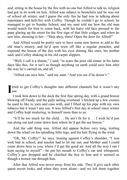and, sitting in the house by the fire with no one but Alfred to talk to, religion had got in its work on him. Alfred was subject to bronchitis and he was out of school all winter, and I guess the only fun he had was in talking about repentance and hell-fire with Coffey. Though he couldn't go to school, he managed to get to Sunday School, and my aunt told me how the old man would watch for him to come back, with his hairy old face pressed to the pane glaring up the street for the first sign of that little codger, and when he saw him, shouting to her—"Ship ahoy, there! Open the door for Alfred!"

And Alfred would be pretty sure to have some new horror to add to the old man's misery, and he'd spin texts off like a regular preacher, and expound the lesson of the day with his eyes shining like stars, his mother said, and Coffey shaking in his old carpet slippers.

"Well, I call it a shame," I said, "to scare the poor old sinner in his latter days like this, for it isn't as though anything on earth could save him after the way he's carried on, and all."

"Alfred can save him," said my aunt. "And you see if he doesn't."

Illustration of the United States of the United States of the United States of the United States of the United States of the United States of the United States of the United States of the United States of the United States use.

I took him down to the dock the first fine spring day, with a grand breeze blowing off Fundy, and the gulls sailing overhead. I fetched up a few cronies he used to like to yarn and cuss with, and I filled up his pipe with my own tobacco but it wasn't any use. It was Alfred's first day at school since winter and Coffey kept muttering, to himself more than to us:

"It'll be too much for the child. . . He ain't fit for it. . . I wish he'd just run along out and come down here where he'd get the sea breeze."

And the odd thing was, Alfred did appear before very long, trotting down the wharf on his spindling little legs, and his hair flying in the wind.

"Oh, Mr. Coffey!" he says, leaning against Coffey's shoulder, "I was took bad in school, and teacher had to let me out, and Mother said I could come down here to you, where I'd get the good air. And all the way I ran I kept saying to myself"—he put his mouth to Coffey's ear and whispered. Coffey's jaw dropped and he clutched the boy to him and it seemed as though a tremor ran through him.

After that Alfred was never away from his side. They'd give each other queer secret looks, and when they were alone—and we left them together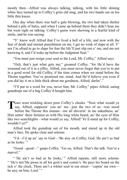mostly then—Alfred was always talking, talking, with his little shining white face turned up to Coffey's grim old mug, and his two hands out on his little thin knees.

One day when there was half a gale blowing, the two had taken shelter behind a pile of bales, and when I came up behind them they didn't hear me but went right on talking. Coffey's gums were showing in a fearful kind of smile, and he was saying:

"Y' know well Alfred that I've lived a hell of a life, and now with the fear of death and eternal punishment on me, I get no wink of slape at all. Y' see I'm afraid to go to slape for fear the life'll just slip out o' me, and me not knowing it, and I'd wake up before the Judgment Seat."

"You must just resign your soul to the Lord, Mr. Coffey," Alfred says.

"Och, that's just what gets me," groaned Coffey, "for He'd have the weazand out of it in a jiffey. Alfred, you must never forget that you're to put in a good word for old Coffey, if the time comes when we stand before the Throne together. You've promised me, mind. And He'd believe you even if you did lay it on a little thick about me goodness, Alfred, darlin'."

"I'll put in a word for you, never fear, Mr. Coffey," pipes Alfred, eating gumdrops out of a bag Coffey'd bought him.

**T** ears were trickling down poor Coffey's cheeks. "Now what would ye say, Alfred, supposin' you an' me—just the two of us—was stood before the Throne this minute are all chiverin' in me nelsedness an' **Tears were trickling down poor Coffey's cheeks. "Now what would ye** before the Throne this minute—me all shiverin' in me nakedness, an' Him settin' there ferninst us with His long white beard, an' the eyes of Him like two searchlights—what would ye say, Alfred? Ye'd stand up for Coffey, wouldn't ye?"

Alfred took the gumdrop out of his mouth, and stared up in the old man's face. He spoke clear and solemn:

"I'd—I'd up an' say to God—'Be aisy on Coffey, God. He ain't so bad as he looks.'<sup>"</sup>

"Good—good—" gasps Coffey. "Go on, Alfred. That's the talk. You're a marvel."

" 'He ain't so bad as he looks,' " Alfred repeats, still more solemn. " 'He's terr'ble pious in all his goin's and comin's. He pays his board on the tick o' the clock. There ain't a whiter soul in our street—'ceptin' me own be aisy on him, Lord.<sup>'</sup>"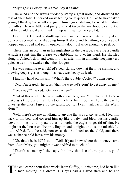"My," gasps Coffey. "It's great. Say it again!"

The wind and the waves suddenly set up a great noise, and drowned the rest of their talk. I sneaked away feeling very queer. I'd like to have taken young Alfred by the scruff and given him a good shaking for what he'd done to Coffey. He was little and puny but he'd taken the manhood clean out of that hardy old rascal and filled him up with fear to the very lid.

One night I heard a shuffling noise in the passage outside my door. Someone seemed to be dragging himself along and breathing very heavy. I hopped out of bed and softly opened my door just wide enough to peek out.

There was an old man in his nightshirt in the passage, carrying a candle at such a slant that the grease was dribbling all over his hand. He shuffled along to Alfred's door and went in. I was after him in a minute, keeping very quiet so as not to awaken the other lodgers.

He was standing over Alfred's bed, staring down at the little shrimp, and drawing deep sighs as though his heart was heavy as lead.

I laid my hand on his arm. "What's the trouble, Coffey?" I whispered.

"Och, I'm feared," he says, "that the wee lad's goin' to get away on me."

"Get away?" I asked. "Get away where?"

"Out of this world," he says, with a terrible groan. "Into the next. He's as wake as a kitten, and this life's too much for him. Look ye, Tom, the day he gives up the ghost I give up the ghost, too, for I can't risk facin' the Wrath alone."

Well, there's no use in talking to anyone that's as crazy as that. I led him back to his bed, and covered him up like a baby, and blew out his candle. Next morning I told my aunt that I thought she ought to get rid of him. He might set the house on fire prowling around at night, or do some mischief to little Alfred. But she said, nonsense, that he doted on the child, and there was a chance he'd leave him his money.

"Oh, that's it, is it?" I said. "Well, if you knew where that money came from, Aunt Mary, you mightn't want Alfred to touch it."

"There's no money," she says, "so dirty that it can't be put to a good use."

The end came about three weeks later. Coffey, all this time, had been like a man moving in a dream. His eyes had a glazed stare and he and he end came about three weeks later. Coffey, all this time, had been like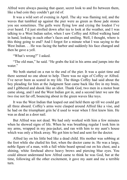Alfred were always passing that queer, secret look to and fro between them, like a bad coin they couldn't get rid of.

It was a wild sort of evening in April. The sky was flaming red, and the waves that tumbled up against the pier were as green as those jade stones you see sometimes. The gulls were flying low and crying the loudest I've ever heard. I'd just strolled down after tea to look at the weather, and I was talking to a West Indian sailor, when I saw Coffey and Alfred walking hand in hand, looking in each other's faces and smiling. Well, I thought, where is this thing going to end? And I forgot for a minute what I was saying to the West Indian. . . He was facing the harbor and suddenly his face changed and then he gave a yell.

"What's wrong?" I asked.

"The old man," he said. "He grabs the kid in his arms and jumps into the water."

We both started on a run to the end of the pier. It was a quiet time and there seemed no one about to help. There was no sign of Coffey or Alfred. I've never been as scared in my life. The things Coffey had said about the boy pleading for him at the Judgment Seat came back like fire in my brain, and I gibbered and shook like an idiot. Thank God, two men in a motor boat came along, and I and the West Indian got in, and a second later we saw the two rise not far off, bouncing about in the green waves like toys.

It was the West Indian that leaped out and held them up till we could get all three aboard. Coffey's arms were clasped around Alfred like a vise, and he had on the triumphant grin he'd used to wear when I first knew him. He was as dead as a door nail.

But Alfred was not dead. We had only worked with him a few minutes when he showed signs of life. When he was breathing regular I took him in my arms, wrapped in my pea-jacket, and ran with him to my aunt's house which was only a block away. We got him to bed and sent for the doctor.

Alfred lay on his little bed like a dead child. His mother was sobbing at the foot while she chafed his feet, when the doctor came in. He was a large, noble figure of a man, with a full white beard spread out on his chest, and a shining, white forehead above heavy brows and piercing blue eyes. You could almost understand how Alfred came to think he was God, but at the time, following all the other excitement, it gave my aunt and me a terrible turn.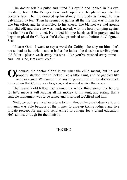The doctor felt his pulse and lifted his eyelid and looked in his eye. Suddenly both Alfred's eyes flew wide open and he glared up into the doctor's face. Then he doubled up his skinny little body as though he was galvanized by fear. Then he seemed to gather all the life that was in him for one big effort, and he scrambled to his knees. The blanket we had around him slid off, and there he was, stark naked, with his heart jumping against his ribs like a fish in a net. He folded his two hands as if in prayer, and he began to plead for Coffey as he'd often promised to do before the Judgment Seat.

"Please God—I want to say a word for Coffey—be aisy on him—he's not so bad as he looks—not so bad as he looks—he does be a terrible pious old feller—please wash away his sins—like you've washed away mine and—oh. God, I'm awful cold!"

**O f** course, the doctor didn't know what the child meant, but he was<br>
properly startled, for he looked like a little saint, and he gabbled like<br>
one necessared We couldn't do anything with him till the doctor made properly startled, for he looked like a little saint, and he gabbled like one possessed. We couldn't do anything with him till the doctor made him certain that Coffey was forgiven, and washed whiter than snow.

That rascally old fellow had planned the whole thing some time before, for he'd made a will leaving all his money to my aunt, and stating that a suitable monument was to be raised and inscribed to Alfred and him.

Well, we put up a nice headstone to him, though he didn't deserve it, and my aunt was able because of the money to give up taking lodgers and live private (except for me) and send Alfred to college for a grand education. He's almost through for the ministry.

#### THE END